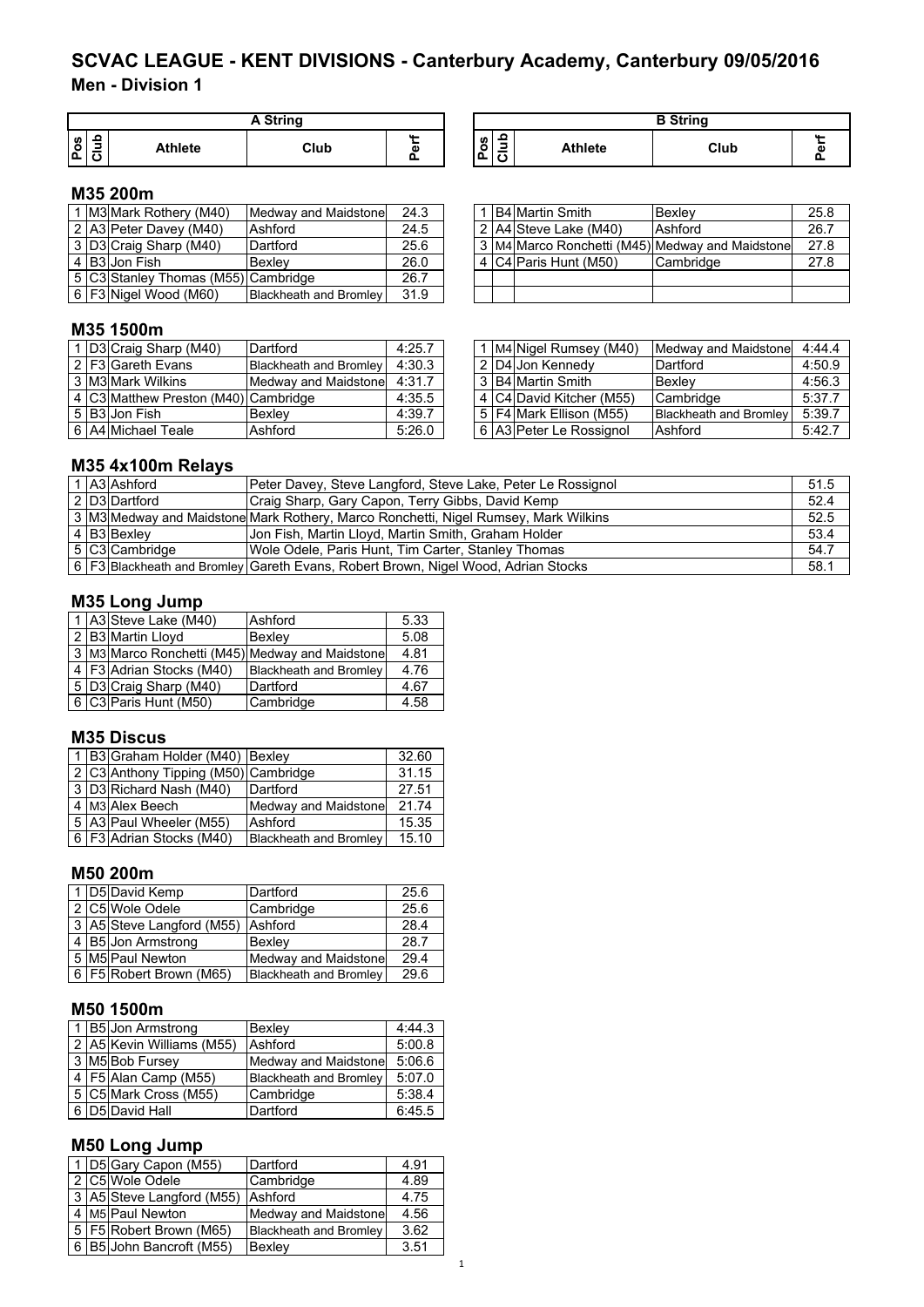# **Men - Division 1 SCVAC LEAGUE - KENT DIVISIONS - Canterbury Academy, Canterbury 09/05/2016**

|          |                | <b>A String</b> |   |
|----------|----------------|-----------------|---|
| ္တြ<br>n | <b>Athlete</b> | Club            | ω |

| A String |                    |                                                    |                | <b>B</b> String |            |
|----------|--------------------|----------------------------------------------------|----------------|-----------------|------------|
| Club     | $\mathbf{a}$<br>đ١ | ء<br>n<br>゠<br>o<br>_<br>I۵<br>$\overline{ }$<br>◡ | <b>Athlete</b> | Club            | <b>ALL</b> |

## **M35 200m**

|  | M3 Mark Rothery (M40)               | Medway and Maidstone   | 24.3 |  | . IB4 Martin Smith    | <b>Bexlev</b>                                   | 25.8 |
|--|-------------------------------------|------------------------|------|--|-----------------------|-------------------------------------------------|------|
|  | 2 A3 Peter Davey (M40)              | Ashford                | 24.5 |  | 2 A4 Steve Lake (M40) | Ashford                                         | 26.7 |
|  | 3 D3 Craig Sharp (M40)              | Dartford               | 25.6 |  |                       | 3 M4 Marco Ronchetti (M45) Medway and Maidstone | 27.8 |
|  | 4 B3 Jon Fish                       | <b>Bexlev</b>          | 26.0 |  | 4 C4 Paris Hunt (M50) | Cambridge                                       | 27.8 |
|  | 5 C3 Stanley Thomas (M55) Cambridge |                        | 26.7 |  |                       |                                                 |      |
|  | 6 F3 Nigel Wood (M60)               | Blackheath and Bromley | 31.9 |  |                       |                                                 |      |

|  | 1 B4 Martin Smith     | Bexley                                          | 25.8 |
|--|-----------------------|-------------------------------------------------|------|
|  | 2 A4 Steve Lake (M40) | Ashford                                         | 26.7 |
|  |                       | 3 M4 Marco Ronchetti (M45) Medway and Maidstone | 27.8 |
|  | 4 C4 Paris Hunt (M50) | Cambridge                                       | 27.8 |
|  |                       |                                                 |      |
|  |                       |                                                 |      |

### **M35 1500m**

|  | Dartford                                                                                              | 4:25.7                               |                                                |  |                                                                                                                                                            | 4:44.4                                                                               |
|--|-------------------------------------------------------------------------------------------------------|--------------------------------------|------------------------------------------------|--|------------------------------------------------------------------------------------------------------------------------------------------------------------|--------------------------------------------------------------------------------------|
|  |                                                                                                       | 4:30.3                               |                                                |  | Dartford                                                                                                                                                   | 4:50.9                                                                               |
|  |                                                                                                       | 4:31.7                               |                                                |  | Bexley                                                                                                                                                     | 4:56.3                                                                               |
|  |                                                                                                       | 4:35.5                               |                                                |  |                                                                                                                                                            | 5:37.7                                                                               |
|  | Bexlev                                                                                                | 4:39.7                               |                                                |  |                                                                                                                                                            | 5:39.7                                                                               |
|  | Ashford                                                                                               | 5:26.0                               |                                                |  |                                                                                                                                                            | 5:42.7                                                                               |
|  | D3 Craig Sharp (M40)<br>2 F3 Gareth Evans<br>3 M3 Mark Wilkins<br>5 B3 Jon Fish<br>6 A4 Michael Teale | 4 C3 Matthew Preston (M40) Cambridge | Blackheath and Bromley<br>Medway and Maidstone |  | 1 M4 Nigel Rumsey (M40)<br>  2   D4   Jon Kennedy<br>3 B4 Martin Smith<br>4 C4 David Kitcher (M55)<br>5   F4 Mark Ellison (M55)<br>6 A3 Peter Le Rossignol | Medway and Maidstone<br>Cambridge<br><b>Blackheath and Bromley</b><br><b>Ashford</b> |

|  | 1 M4 Nigel Rumsey (M40)  | Medway and Maidstone          | 4:44.4 |
|--|--------------------------|-------------------------------|--------|
|  | 2 D4 Jon Kennedy         | Dartford                      | 4:50.9 |
|  | 3 B4 Martin Smith        | Bexley                        | 4:56.3 |
|  | 4 C4 David Kitcher (M55) | Cambridge                     | 5:37.7 |
|  | 5 F4 Mark Ellison (M55)  | <b>Blackheath and Bromley</b> | 5:39.7 |
|  | 6 A3 Peter Le Rossignol  | Ashford                       | 5:42.7 |

### **M35 4x100m Relays**

|  | 1 A3 Ashford   | Peter Davey, Steve Langford, Steve Lake, Peter Le Rossignol                         | 51.5 |
|--|----------------|-------------------------------------------------------------------------------------|------|
|  | 2 D3 Dartford  | Craig Sharp, Gary Capon, Terry Gibbs, David Kemp                                    | 52.4 |
|  |                | 3 M3 Medway and Maidstone Mark Rothery, Marco Ronchetti, Nigel Rumsey, Mark Wilkins | 52.5 |
|  | 4 B3 Bexley    | Jon Fish, Martin Lloyd, Martin Smith, Graham Holder                                 | 53.4 |
|  | 5 C3 Cambridge | Wole Odele, Paris Hunt, Tim Carter, Stanley Thomas                                  | 54.7 |
|  |                | 6   F3 Blackheath and Bromley Gareth Evans, Robert Brown, Nigel Wood, Adrian Stocks | 58.1 |

### **M35 Long Jump**

|  | 1 A3 Steve Lake (M40)      | Ashford                                               | 5.33 |
|--|----------------------------|-------------------------------------------------------|------|
|  | 2 B3 Martin Lloyd          | Bexlev                                                | 5.08 |
|  |                            | 3   M3   Marco Ronchetti (M45)   Medway and Maidstone | 4.81 |
|  | 4   F3 Adrian Stocks (M40) | <b>Blackheath and Bromley</b>                         | 4.76 |
|  | 5   D3 Craig Sharp (M40)   | Dartford                                              | 4.67 |
|  | 6 C3 Paris Hunt (M50)      | Cambridge                                             | 4.58 |

#### **M35 Discus**

|  | 1   B3 Graham Holder (M40)   Bexley  |                               | 32.60 |
|--|--------------------------------------|-------------------------------|-------|
|  | 2 C3 Anthony Tipping (M50) Cambridge |                               | 31.15 |
|  | 3 D3 Richard Nash (M40)              | Dartford                      | 27.51 |
|  | 4 M3 Alex Beech                      | Medway and Maidstone          | 21.74 |
|  | 5 A3 Paul Wheeler (M55)              | Ashford                       | 15.35 |
|  | 6 F3 Adrian Stocks (M40)             | <b>Blackheath and Bromley</b> | 15.10 |

#### **M50 200m**

|  | 1 D5 David Kemp             | Dartford                      | 25.6 |
|--|-----------------------------|-------------------------------|------|
|  | 2 C5 Wole Odele             | Cambridge                     | 25.6 |
|  | 3 A5 Steve Langford (M55)   | <b>Ashford</b>                | 28.4 |
|  | $\sqrt{4}$ B5 Jon Armstrong | <b>Bexlev</b>                 | 28.7 |
|  | 5 M5 Paul Newton            | Medway and Maidstone          | 29.4 |
|  | 6   F5 Robert Brown (M65)   | <b>Blackheath and Bromley</b> | 29.6 |

### **M50 1500m**

|  | 1 B5 Jon Armstrong        | Bexley                        | 4:44.3 |
|--|---------------------------|-------------------------------|--------|
|  | 2 A5 Kevin Williams (M55) | Ashford                       | 5:00.8 |
|  | 3 M5 Bob Fursey           | Medway and Maidstone          | 5:06.6 |
|  | 4   F5 Alan Camp (M55)    | <b>Blackheath and Bromley</b> | 5:07.0 |
|  | 5 C5 Mark Cross (M55)     | Cambridge                     | 5:38.4 |
|  | 6 D5 David Hall           | Dartford                      | 6:45.5 |

### **M50 Long Jump**

|  | 1 D5 Gary Capon (M55)        | Dartford                      | 4.91 |
|--|------------------------------|-------------------------------|------|
|  | 2 C5 Wole Odele              | Cambridge                     | 4.89 |
|  | 3 A5 Steve Langford (M55)    | Ashford                       | 4.75 |
|  | 4 M <sub>5</sub> Paul Newton | Medway and Maidstone          | 4.56 |
|  | 5   F5   Robert Brown (M65)  | <b>Blackheath and Bromley</b> | 3.62 |
|  | 6 B5 John Bancroft (M55)     | Bexley                        | 3.51 |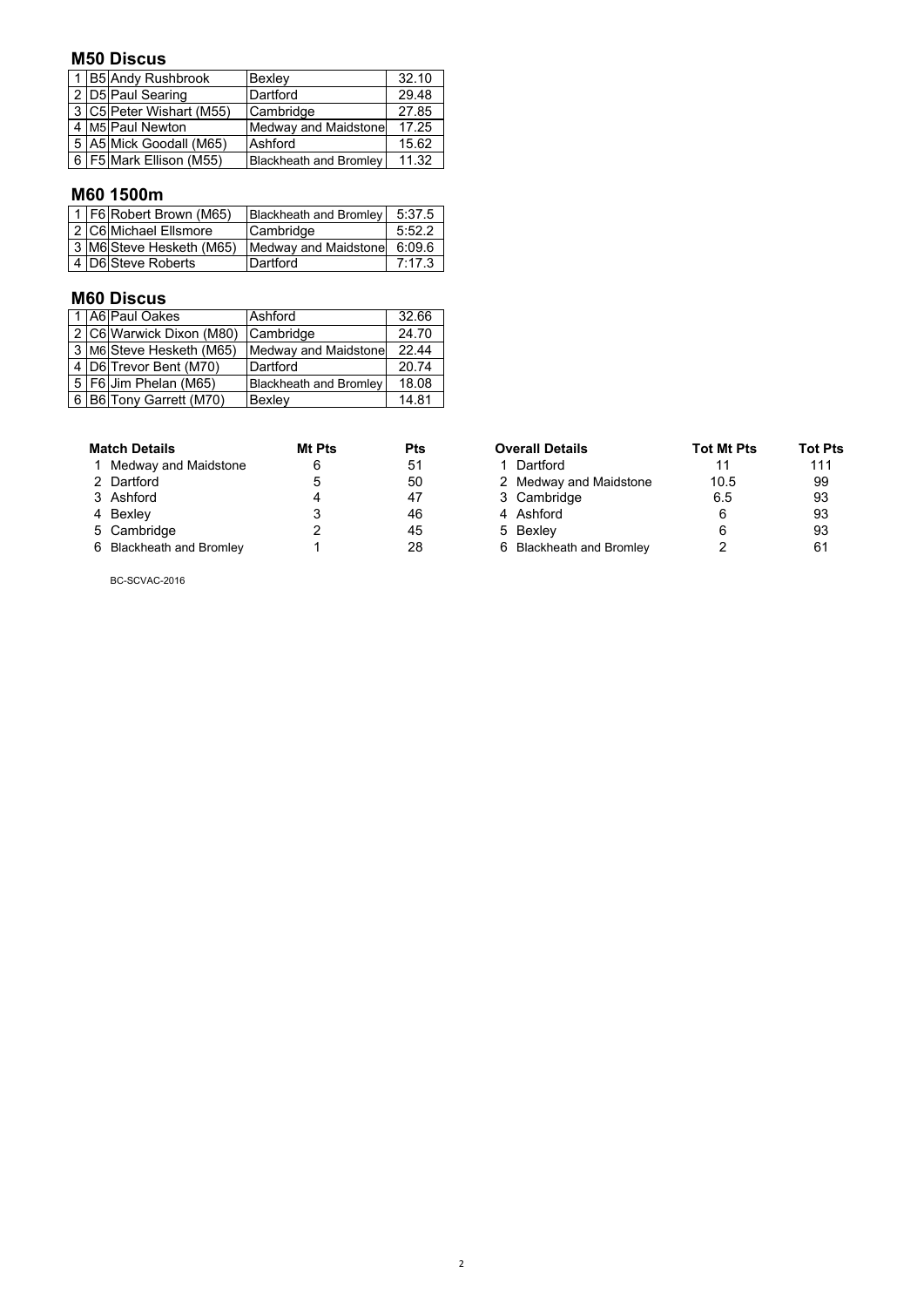### **M50 Discus**

|  | 1 B5 Andy Rushbrook         | Bexley                        | 32.10 |
|--|-----------------------------|-------------------------------|-------|
|  | 2 D5 Paul Searing           | Dartford                      | 29.48 |
|  | 3 C5 Peter Wishart (M55)    | Cambridge                     | 27.85 |
|  | 4   M5   Paul Newton        | Medway and Maidstone          | 17.25 |
|  | 5 A5 Mick Goodall (M65)     | Ashford                       | 15.62 |
|  | 6   F5   Mark Ellison (M55) | <b>Blackheath and Bromley</b> | 11.32 |
|  |                             |                               |       |

# **M60 1500m**

|  | 1 F6 Robert Brown (M65)  | Blackheath and Bromley 5:37.5 |        |
|--|--------------------------|-------------------------------|--------|
|  | 2 C6 Michael Ellsmore    | Cambridge                     | 5:52.2 |
|  | 3 M6 Steve Hesketh (M65) | Medway and Maidstone          | 6:09.6 |
|  | 4 D6 Steve Roberts       | Dartford                      | 7:17.3 |

### **M60 Discus**

|  | 1 A6 Paul Oakes            | Ashford                       | 32.66 |
|--|----------------------------|-------------------------------|-------|
|  | 2 C6 Warwick Dixon (M80)   | Cambridge                     | 24.70 |
|  | 3 M6 Steve Hesketh (M65)   | Medway and Maidstone          | 22.44 |
|  | 4   D6   Trevor Bent (M70) | Dartford                      | 20.74 |
|  | 5   F6 Jim Phelan (M65)    | <b>Blackheath and Bromley</b> | 18.08 |
|  | 6 B6 Tony Garrett (M70)    | Bexley                        | 14.81 |

| <b>Match Details</b>     | Mt Pts | Pts | <b>Overall Details</b>   | <b>Tot Mt Pts</b> | Tot I |
|--------------------------|--------|-----|--------------------------|-------------------|-------|
| 1 Medway and Maidstone   |        | 51  | 1 Dartford               |                   | 11    |
| 2 Dartford               |        | 50  | 2 Medway and Maidstone   | 10.5              | 99    |
| 3 Ashford                |        | 47  | 3 Cambridge              | 6.5               | 93    |
| 4 Bexley                 |        | 46  | 4 Ashford                | 6                 | 93    |
| 5 Cambridge              |        | 45  | 5 Bexley                 |                   | 93    |
| 6 Blackheath and Bromley |        | 28  | 6 Blackheath and Bromley |                   | 61    |

| <b>Match Details</b>     | Mt Pts | Pts | <b>Overall Details</b>   | <b>Tot Mt Pts</b> | <b>Tot Pts</b> |
|--------------------------|--------|-----|--------------------------|-------------------|----------------|
| 1 Medway and Maidstone   | 6      | 51  | 1 Dartford               | 11                | 111            |
| 2 Dartford               |        | 50  | 2 Medway and Maidstone   | 10.5              | 99             |
| 3 Ashford                |        | 47  | 3 Cambridge              | 6.5               | 93             |
| 4 Bexley                 |        | 46  | 4 Ashford                |                   | 93             |
| 5 Cambridge              |        | 45  | 5 Bexlev                 |                   | 93             |
| 6 Blackheath and Bromley |        | 28  | 6 Blackheath and Bromley |                   | 61             |

BC-SCVAC-2016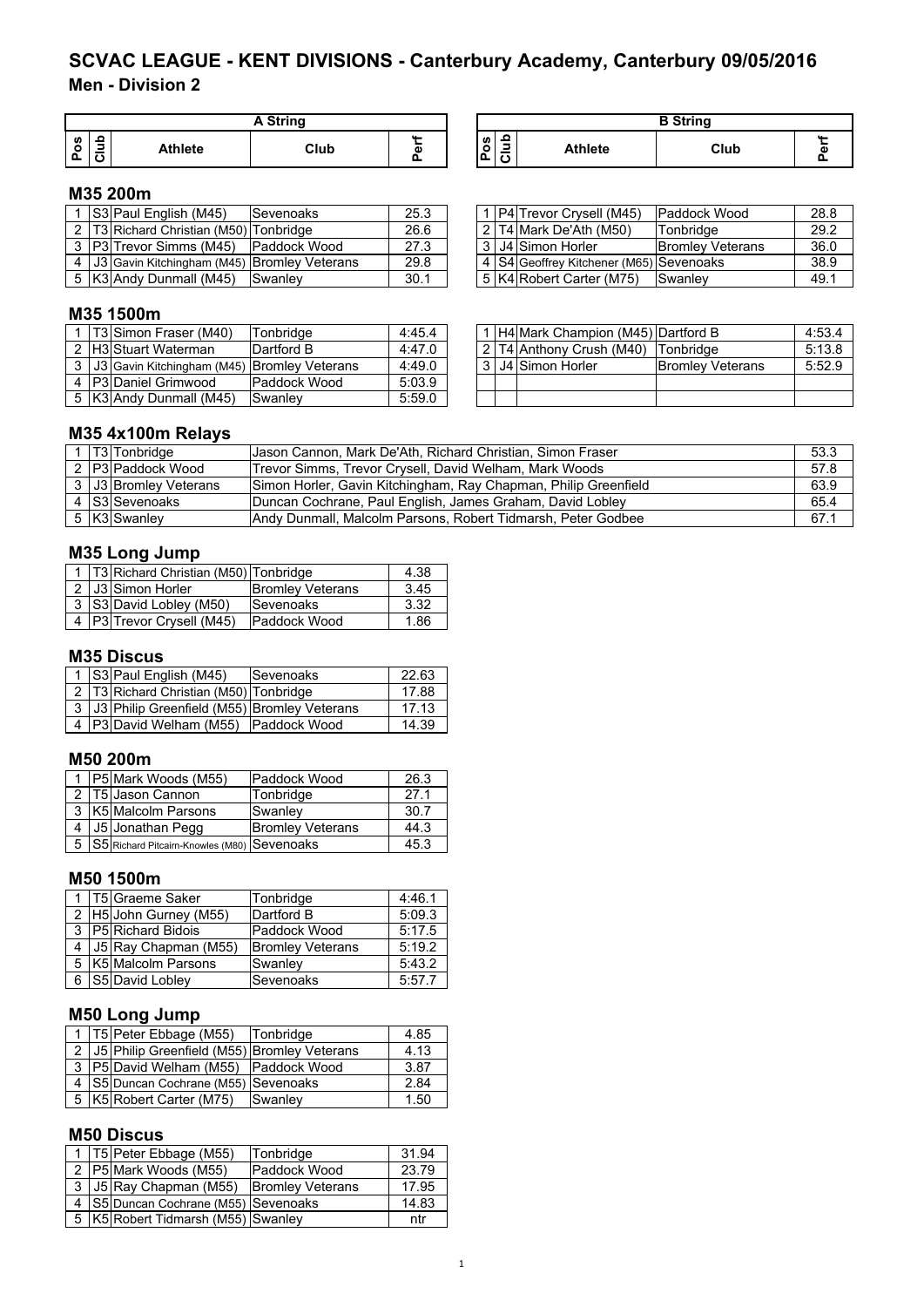# **Men - Division 2 SCVAC LEAGUE - KENT DIVISIONS - Canterbury Academy, Canterbury 09/05/2016**

|               |                | A String |   |
|---------------|----------------|----------|---|
| <b>S</b><br>o | <b>Athlete</b> | Club     | ω |

| <b>A String</b> |                  |                                                   |                | $\overline{P}$ Ctring |           |
|-----------------|------------------|---------------------------------------------------|----------------|-----------------------|-----------|
| Club            | <b>AA </b><br>a۱ | ء<br>w<br>$\overline{\phantom{a}}$<br>o<br>ם<br>~ | <b>Athlete</b> | Club                  | <b>AA</b> |

### **M35 200m**

|  | S3 Paul English (M45)                             | <b>Sevenoaks</b> | 25.3 |  | 1   P4   Trevor Crysell (M45)           | Paddock Wood            | 28.8            |
|--|---------------------------------------------------|------------------|------|--|-----------------------------------------|-------------------------|-----------------|
|  | 2 T3 Richard Christian (M50) Tonbridge            |                  | 26.6 |  | 2 T4 Mark De'Ath (M50)                  | <b>ITonbridge</b>       | 29.2            |
|  | 3   P3   Trevor Simms (M45)                       | Paddock Wood     | 27.3 |  | 3   J4   Simon Horler                   | <b>Bromley Veterans</b> | 36 <sub>c</sub> |
|  | 4   J3 Gavin Kitchingham (M45)   Bromley Veterans |                  | 29.8 |  | 4 S4 Geoffrey Kitchener (M65) Sevenoaks |                         | 38.9            |
|  | 5   K3   Andy Dunmall (M45)                       | <b>Swanley</b>   | 30.1 |  | 5 K4 Robert Carter (M75)                | <b>ISwanlev</b>         | 49.1            |

#### **M35 1500m**

|  | <b>T3 Simon Fraser (M40)</b>                  | Tonbridae            | 4:45.4 |  | H4 Mark Champion (M45) Dartford B |                         | 4:53.4 |
|--|-----------------------------------------------|----------------------|--------|--|-----------------------------------|-------------------------|--------|
|  | 2 H3 Stuart Waterman                          | Dartford B           | 4:47.0 |  | l 2 IT4 Anthony Crush (M40)       | lTonbridae              | 5:13.8 |
|  | 3 J3 Gavin Kitchingham (M45) Bromley Veterans |                      | 4:49.0 |  | l 3   J4   Simon Horler           | <b>Bromley Veterans</b> | 5:52.9 |
|  | 4 P3 Daniel Grimwood                          | <b>IPaddock Wood</b> | 5:03.9 |  |                                   |                         |        |
|  | 5   K3   Andy Dunmall (M45)                   | Swanley              | 5:59.0 |  |                                   |                         |        |

|  | 1 P4 Trevor Crysell (M45)                 | Paddock Wood            | 28.8 |
|--|-------------------------------------------|-------------------------|------|
|  | 2 T4 Mark De'Ath (M50)                    | Tonbridge               | 29.2 |
|  | 3 J4 Simon Horler                         | <b>Bromley Veterans</b> | 36.0 |
|  | 4   S4 Geoffrey Kitchener (M65) Sevenoaks |                         | 38.9 |
|  | 5 K4 Robert Carter (M75)                  | Swanley                 | 49.1 |

|                | 1   H4 Mark Champion (M45) Dartford B |                         |        |  |  |
|----------------|---------------------------------------|-------------------------|--------|--|--|
|                | 2 T4 Anthony Crush (M40) Tonbridge    |                         | 5:13.8 |  |  |
| 3 <sub>1</sub> | J4 Simon Horler                       | <b>Bromley Veterans</b> | 5:52.9 |  |  |
|                |                                       |                         |        |  |  |
|                |                                       |                         |        |  |  |

### **M35 4x100m Relays**

|  | <b>T3</b> Tonbridge    | Jason Cannon, Mark De'Ath, Richard Christian, Simon Fraser      | 53.3 |
|--|------------------------|-----------------------------------------------------------------|------|
|  | 2 P3 Paddock Wood      | Trevor Simms, Trevor Crysell, David Welham, Mark Woods          | 57.8 |
|  | 3 JJ3 Bromley Veterans | Simon Horler, Gavin Kitchingham, Ray Chapman, Philip Greenfield | 63.9 |
|  | 4 S3 Sevenoaks         | Duncan Cochrane, Paul English, James Graham, David Lobley       | 65.4 |
|  | 5 K3 Swanley           | Andy Dunmall, Malcolm Parsons, Robert Tidmarsh, Peter Godbee    | 67.1 |

### **M35 Long Jump**

|  | 1   T3   Richard Christian (M50)   Tonbridge |                         | 4.38 |
|--|----------------------------------------------|-------------------------|------|
|  | 2 J3 Simon Horler                            | <b>Bromley Veterans</b> | 3.45 |
|  | 3 S3 David Lobley (M50)                      | Sevenoaks               | 3.32 |
|  | 4 P3 Trevor Crysell (M45)                    | Paddock Wood            | 1.86 |

### **M35 Discus**

|  | 1 S3 Paul English (M45)                             | Sevenoaks | 22.63 |
|--|-----------------------------------------------------|-----------|-------|
|  | 2   T3   Richard Christian (M50)   Tonbridge        |           | 17.88 |
|  | 3   J3   Philip Greenfield (M55)   Bromley Veterans |           | 17.13 |
|  | 4 P3 David Welham (M55) Paddock Wood                |           | 14.39 |

### **M50 200m**

|  | 1   P5 Mark Woods (M55)                     | Paddock Wood            | 26.3 |
|--|---------------------------------------------|-------------------------|------|
|  | 2   T5 Jason Cannon                         | Tonbridge               | 27.1 |
|  | 3   K5   Malcolm Parsons                    | Swanley                 | 30.7 |
|  | J5 Jonathan Pegg                            | <b>Bromley Veterans</b> | 44.3 |
|  | S5 Richard Pitcairn-Knowles (M80) Sevenoaks |                         | 45.3 |

### **M50 1500m**

|  | 1   T5 Graeme Saker        | Tonbridge               | 4:46.1 |
|--|----------------------------|-------------------------|--------|
|  | 2 H5 John Gurney (M55)     | Dartford B              | 5:09.3 |
|  | 3 P5 Richard Bidois        | Paddock Wood            | 5:17.5 |
|  | 4   J5   Ray Chapman (M55) | <b>Bromley Veterans</b> | 5:19.2 |
|  | 5   K5 Malcolm Parsons     | Swanley                 | 5:43.2 |
|  | S5 David Lobley            | Sevenoaks               | 5:57.7 |

# **M50 Long Jump**

|  |  | 1   T5   Peter Ebbage (M55)                         | Tonbridge | 4.85 |  |  |
|--|--|-----------------------------------------------------|-----------|------|--|--|
|  |  | 2   J5   Philip Greenfield (M55)   Bromley Veterans |           | 4.13 |  |  |
|  |  | 3   P5 David Welham (M55)   Paddock Wood            |           | 3.87 |  |  |
|  |  | 4 S5 Duncan Cochrane (M55) Sevenoaks                |           | 2.84 |  |  |
|  |  | 5   K5   Robert Carter (M75)                        | Swanley   | 1.50 |  |  |

### **M50 Discus**

|  | 1   T5 Peter Ebbage (M55)                | Tonbridge               | 31.94 |
|--|------------------------------------------|-------------------------|-------|
|  | 2 P5 Mark Woods (M55)                    | Paddock Wood            | 23.79 |
|  | 3 J5 Ray Chapman (M55)                   | <b>Bromley Veterans</b> | 17.95 |
|  | 4 S5 Duncan Cochrane (M55) Sevenoaks     |                         | 14.83 |
|  | 5   K5   Robert Tidmarsh (M55)   Swanley |                         | ntr   |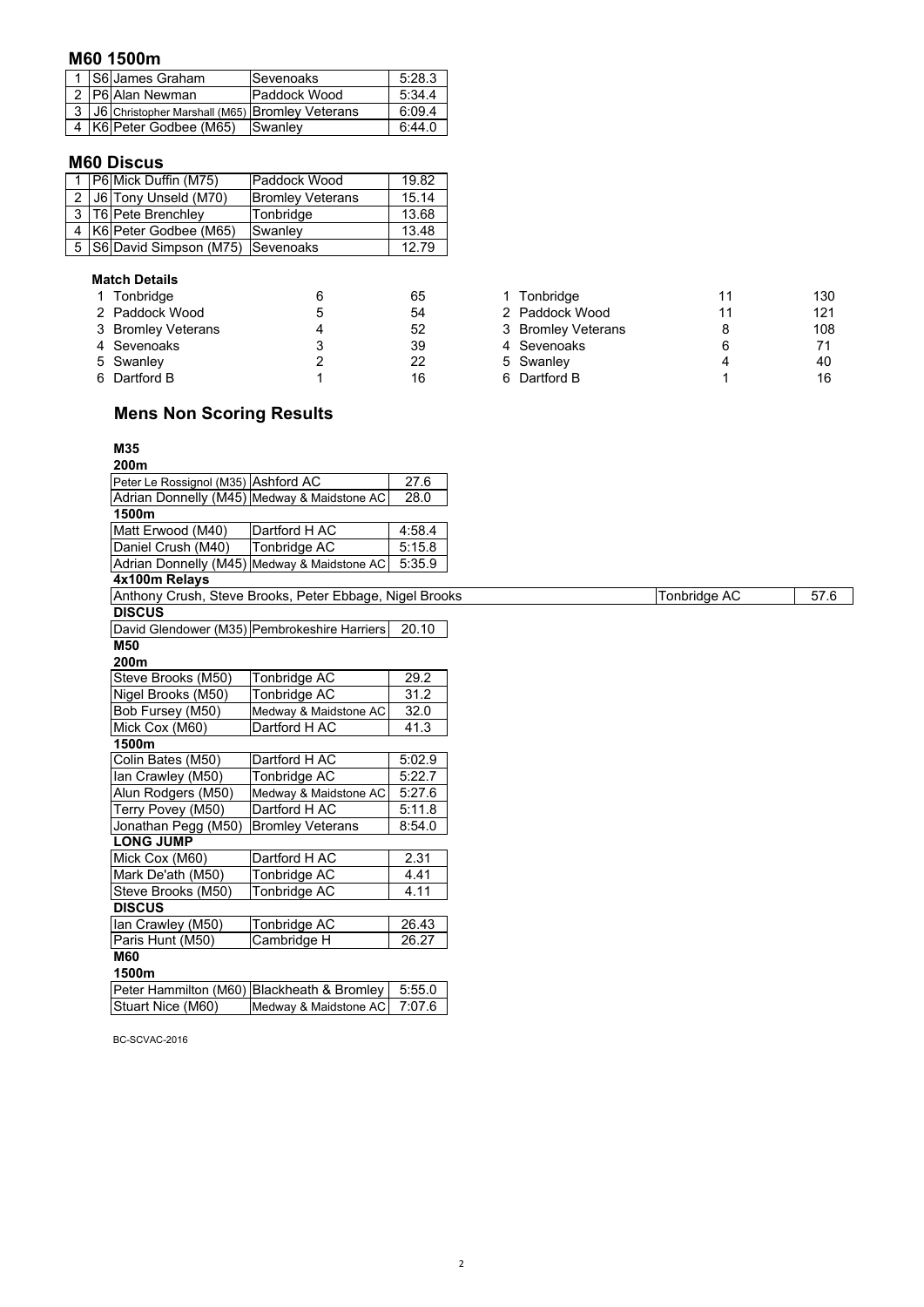### **M60 1500m**

|  | 1 S6 James Graham                                  | Sevenoaks    | 5:28.3 |
|--|----------------------------------------------------|--------------|--------|
|  | 2 P6 Alan Newman                                   | Paddock Wood | 5:34.4 |
|  | 3   J6 Christopher Marshall (M65) Bromley Veterans |              | 6:09.4 |
|  | 4 K6 Peter Godbee (M65)                            | Swanley      | 6:44.0 |

### **M60 Discus**

|  | 1   P6   Mick Duffin (M75)             | Paddock Wood            | 19.82 |
|--|----------------------------------------|-------------------------|-------|
|  | J6 Tony Unseld (M70)                   | <b>Bromley Veterans</b> | 15.14 |
|  | 3 T6 Pete Brenchley                    | Tonbridge               | 13.68 |
|  | 4   K6   Peter Godbee (M65)            | Swanley                 | 13.48 |
|  | 5   S6 David Simpson (M75)   Sevenoaks |                         | 12.79 |

#### **Match Details**

| 1 Tonbridge        |   | 65 | 1 Tonbridge        |    | 130 |
|--------------------|---|----|--------------------|----|-----|
| 2 Paddock Wood     |   | 54 | 2 Paddock Wood     | 11 | 121 |
| 3 Bromley Veterans | Δ | 52 | 3 Bromley Veterans |    | 108 |
| 4 Sevenoaks        |   | 39 | 4 Sevenoaks        | 6  | 71  |
| 5 Swanley          |   | 22 | 5 Swanley          |    | 40  |
| 6 Dartford B       |   | 16 | 6 Dartford B       |    | 16  |

# **Mens Non Scoring Results**

#### **M35 200m**

| ZUUIII                              |                                                         |        |
|-------------------------------------|---------------------------------------------------------|--------|
| Peter Le Rossignol (M35) Ashford AC |                                                         | 27.6   |
|                                     | Adrian Donnelly (M45) Medway & Maidstone AC             | 28.0   |
| 1500m                               |                                                         |        |
| Matt Erwood (M40)                   | Dartford H AC                                           | 4:58.4 |
| Daniel Crush (M40)                  | Tonbridge AC                                            | 5:15.8 |
|                                     | Adrian Donnelly (M45) Medway & Maidstone AC             | 5:35.9 |
| 4x100m Relays                       |                                                         |        |
|                                     | Anthony Crush, Steve Brooks, Peter Ebbage, Nigel Brooks |        |
| <b>DISCUS</b>                       |                                                         |        |
|                                     | David Glendower (M35) Pembrokeshire Harriers            | 20.10  |
| M50                                 |                                                         |        |
| 200m                                |                                                         |        |
| Steve Brooks (M50)                  | Tonbridge AC                                            | 29.2   |
| Nigel Brooks (M50)                  | Tonbridge AC                                            | 31.2   |
| Bob Fursey (M50)                    | Medway & Maidstone AC                                   | 32.0   |
| Mick Cox (M60)                      | Dartford H AC                                           | 41.3   |
| 1500m                               |                                                         |        |
| Colin Bates (M50)                   | Dartford H AC                                           | 5:02.9 |
| Ian Crawley (M50)                   | Tonbridge AC                                            | 5:22.7 |
| Alun Rodgers (M50)                  | Medway & Maidstone AC                                   | 5:27.6 |
| Terry Povey (M50)                   | Dartford H AC                                           | 5:11.8 |
| Jonathan Pegg (M50)                 | <b>Bromley Veterans</b>                                 | 8:54.0 |
| <b>LONG JUMP</b>                    |                                                         |        |
| Mick Cox (M60)                      | Dartford H AC                                           | 2.31   |
| Mark De'ath (M50)                   | Tonbridge AC                                            | 4.41   |
| Steve Brooks (M50)                  | Tonbridge AC                                            | 4.11   |
| <b>DISCUS</b>                       |                                                         |        |
| Ian Crawley (M50)                   | Tonbridge AC                                            | 26.43  |
| Paris Hunt (M50)                    | Cambridge H                                             | 26.27  |
| <b>M60</b>                          |                                                         |        |
| 1500m                               |                                                         |        |
|                                     | Peter Hammilton (M60) Blackheath & Bromley              | 5:55.0 |
|                                     |                                                         |        |

BC-SCVAC-2016

Stuart Nice (M60) Medway & Maidstone AC 7:07.6

| 1 Tonbridge        | 11 | 130 |
|--------------------|----|-----|
| 2 Paddock Wood     | 11 | 121 |
| 3 Bromley Veterans | 8  | 108 |
| 4 Sevenoaks        | 6  | 71  |
| 5 Swanley          | 4  | 40  |
| 6 Dartford B       | 1  | 16  |
|                    |    |     |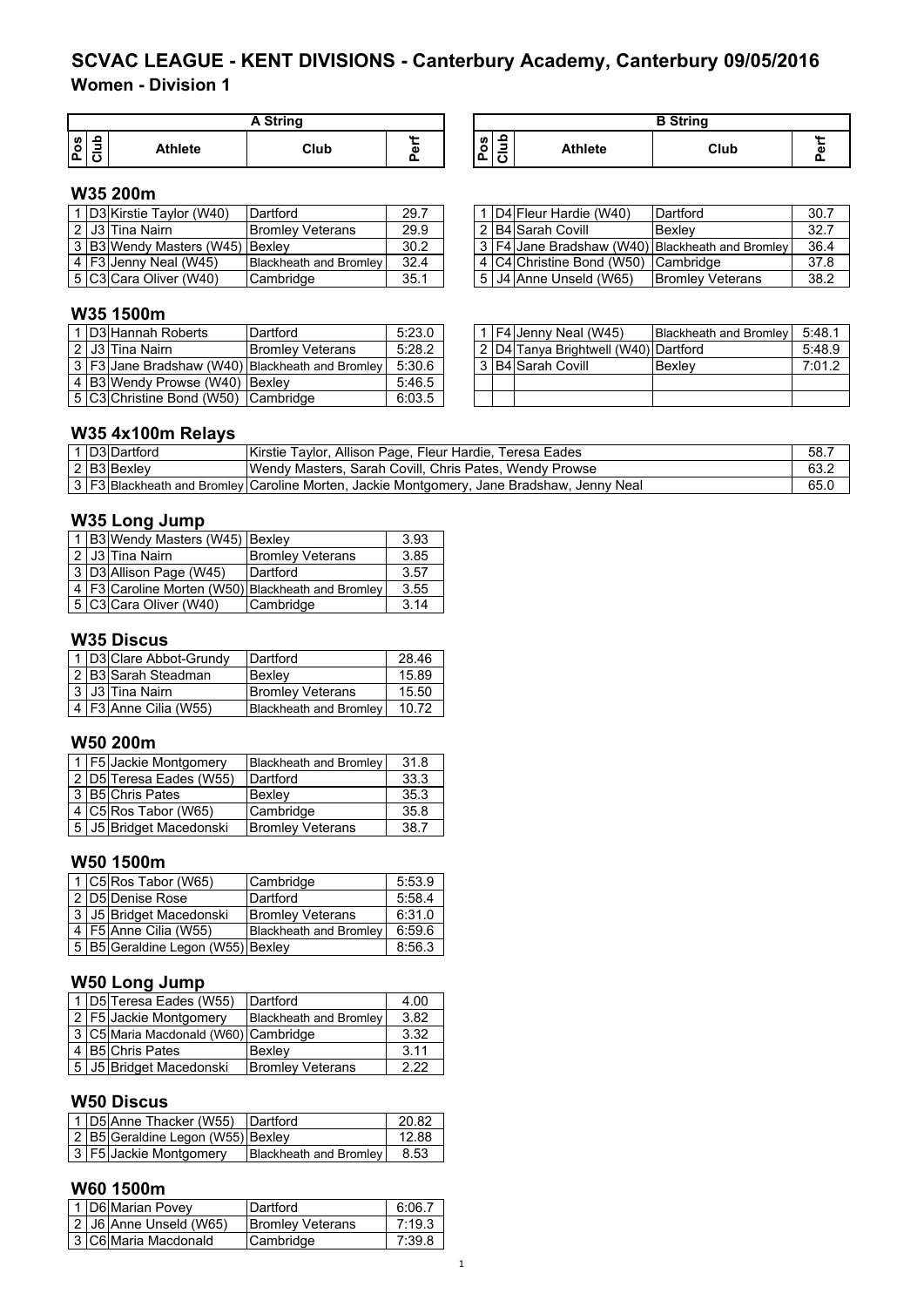# **Women - Division 1 SCVAC LEAGUE - KENT DIVISIONS - Canterbury Academy, Canterbury 09/05/2016**

|                 | A String |                |      |   |  |  |
|-----------------|----------|----------------|------|---|--|--|
| ဖြ<br>1 O<br>۰۵ |          | <b>Athlete</b> | Club | Φ |  |  |

| A String |    |                                                     |                | <b>R</b> String |  |
|----------|----|-----------------------------------------------------|----------------|-----------------|--|
| Club     | G. | ິ<br>Pos<br>$\sim$<br>ے<br>$\overline{\phantom{a}}$ | <b>Athlete</b> | Club            |  |

### **W35 200m**

|  | . ID3 Kirstie Tavlor (W40)      | Dartford                      | 29.7 |  | 1 D4 Fleur Hardie (W40)             | Dartford                                        | 30.7 |
|--|---------------------------------|-------------------------------|------|--|-------------------------------------|-------------------------------------------------|------|
|  | 2   J3   Tina Nairn             | <b>IBromlev Veterans</b>      | 29.9 |  | 2 B4 Sarah Covill                   | IBexlev                                         | 32.7 |
|  | 3 B3 Wendy Masters (W45) Bexley |                               | 30.2 |  |                                     | 3 F4 Jane Bradshaw (W40) Blackheath and Bromley | 36.4 |
|  | $4$   F3 Jenny Neal (W45)       | <b>Blackheath and Bromley</b> | 32.4 |  | 4 C4 Christine Bond (W50) Cambridge |                                                 | 37.8 |
|  | 5 C3 Cara Oliver (W40)          | <b>Cambridge</b>              | 35.1 |  | 5 J4 Anne Unseld (W65)              | <b>Bromley Veterans</b>                         | 38.2 |

|  | 1 D4 Fleur Hardie (W40)   | Dartford                                        | 30.7 |
|--|---------------------------|-------------------------------------------------|------|
|  | 2 B4 Sarah Covill         | Bexley                                          | 32.7 |
|  |                           | 3 F4 Jane Bradshaw (W40) Blackheath and Bromley | 36.4 |
|  | 4 C4 Christine Bond (W50) | Cambridge                                       | 37.8 |
|  | 5 J4 Anne Unseld (W65)    | <b>Bromley Veterans</b>                         | 38.2 |

#### **W35 1500m**

|  | 1 D3 Hannah Roberts                 | Dartford                                        | 5:23.0 |  | 1 $FA$ Jenny Neal (W45)              | <b>Blackheath and Bromley</b> | 5:48.1 |
|--|-------------------------------------|-------------------------------------------------|--------|--|--------------------------------------|-------------------------------|--------|
|  | 2 J3 Tina Nairn                     | <b>Bromley Veterans</b>                         | 5:28.2 |  | 2 D4 Tanya Brightwell (W40) Dartford |                               | 5:48.9 |
|  |                                     | 3 F3 Jane Bradshaw (W40) Blackheath and Bromley | 5:30.6 |  | 3 B4 Sarah Covill                    | Bexley                        | 7:01.2 |
|  | 4 B3 Wendy Prowse (W40) Bexley      |                                                 | 5:46.5 |  |                                      |                               |        |
|  | 5 C3 Christine Bond (W50) Cambridge |                                                 | 6:03.5 |  |                                      |                               |        |

|  | 1   F4   Jenny Neal (W45)            | <b>Blackheath and Bromley</b> | 5:48.1 |
|--|--------------------------------------|-------------------------------|--------|
|  | 2 D4 Tanya Brightwell (W40) Dartford |                               | 5:48.9 |
|  | 3 B4 Sarah Covill                    | Bexlev                        | 7:01.2 |
|  |                                      |                               |        |
|  |                                      |                               |        |

### **W35 4x100m Relays**

|  | 1 D3 Dartford | Kirstie Taylor, Allison Page, Fleur Hardie, Teresa Eades                                       | 58.  |
|--|---------------|------------------------------------------------------------------------------------------------|------|
|  | 2 B3 Bexley   | Wendy Masters, Sarah Covill, Chris Pates, Wendy Prowse                                         | 63.2 |
|  |               | 3   F3  Blackheath and Bromley   Caroline Morten, Jackie Montgomery, Jane Bradshaw, Jenny Neal | 65.( |

#### **W35 Long Jump**

|  | 1 B3 Wendy Masters (W45) Bexley |                                                         | 3.93 |
|--|---------------------------------|---------------------------------------------------------|------|
|  | 2 J3 Tina Nairn                 | <b>Bromley Veterans</b>                                 | 3.85 |
|  | 3 D3 Allison Page (W45)         | Dartford                                                | 3.57 |
|  |                                 | 4   F3   Caroline Morten (W50)   Blackheath and Bromley | 3.55 |
|  | 5 C3 Cara Oliver (W40)          | Cambridge                                               | 3.14 |

### **W35 Discus**

|  | 1 D3 Clare Abbot-Grundy | Dartford                      | 28.46 |
|--|-------------------------|-------------------------------|-------|
|  | $2 B3 $ Sarah Steadman  | Bexley                        | 15.89 |
|  | 3 J3 Tina Nairn         | <b>Bromley Veterans</b>       | 15.50 |
|  | 4 F3 Anne Cilia (W55)   | <b>Blackheath and Bromley</b> | 10.72 |

### **W50 200m**

|  | 1 F5 Jackie Montgomery  | <b>Blackheath and Bromley</b> | 31.8 |
|--|-------------------------|-------------------------------|------|
|  | 2 D5 Teresa Eades (W55) | Dartford                      | 33.3 |
|  | 3 B5 Chris Pates        | Bexley                        | 35.3 |
|  | 4 C5 Ros Tabor (W65)    | Cambridge                     | 35.8 |
|  | 5 J5 Bridget Macedonski | <b>Bromley Veterans</b>       | 38.7 |

### **W50 1500m**

|  | $\vert$ 1 $\vert$ C5 Ros Tabor (W65) | Cambridge                     | 5:53.9 |
|--|--------------------------------------|-------------------------------|--------|
|  | 2 D5 Denise Rose                     | Dartford                      | 5:58.4 |
|  | 3 J5 Bridget Macedonski              | <b>Bromley Veterans</b>       | 6:31.0 |
|  | 4   F5 Anne Cilia (W55)              | <b>Blackheath and Bromley</b> | 6:59.6 |
|  | 5 B5 Geraldine Legon (W55) Bexley    |                               | 8:56.3 |

### **W50 Long Jump**

|  | 1   D5 Teresa Eades (W55)            | Dartford                      | 4.00 |
|--|--------------------------------------|-------------------------------|------|
|  | 2 F5 Jackie Montgomery               | <b>Blackheath and Bromley</b> | 3.82 |
|  | 3 C5 Maria Macdonald (W60) Cambridge |                               | 3.32 |
|  | 4 B5 Chris Pates                     | Bexley                        | 3.11 |
|  | 5 J5 Bridget Macedonski              | <b>Bromley Veterans</b>       | 2.22 |

### **W50 Discus**

|  | 1   D5 Anne Thacker (W55)   Dartford |                        | 20.82 |
|--|--------------------------------------|------------------------|-------|
|  | 2 B5 Geraldine Legon (W55) Bexley    |                        | 12.88 |
|  | 3   F5 Jackie Montgomery             | Blackheath and Bromley | 8.53  |

### **W60 1500m**

| 1 D6 Marian Povey |                        | Dartford                | 6:06.7 |
|-------------------|------------------------|-------------------------|--------|
|                   | 2 J6 Anne Unseld (W65) | <b>Bromley Veterans</b> | 7:19.3 |
|                   | 3 C6 Maria Macdonald   | Cambridge               | 7:39.8 |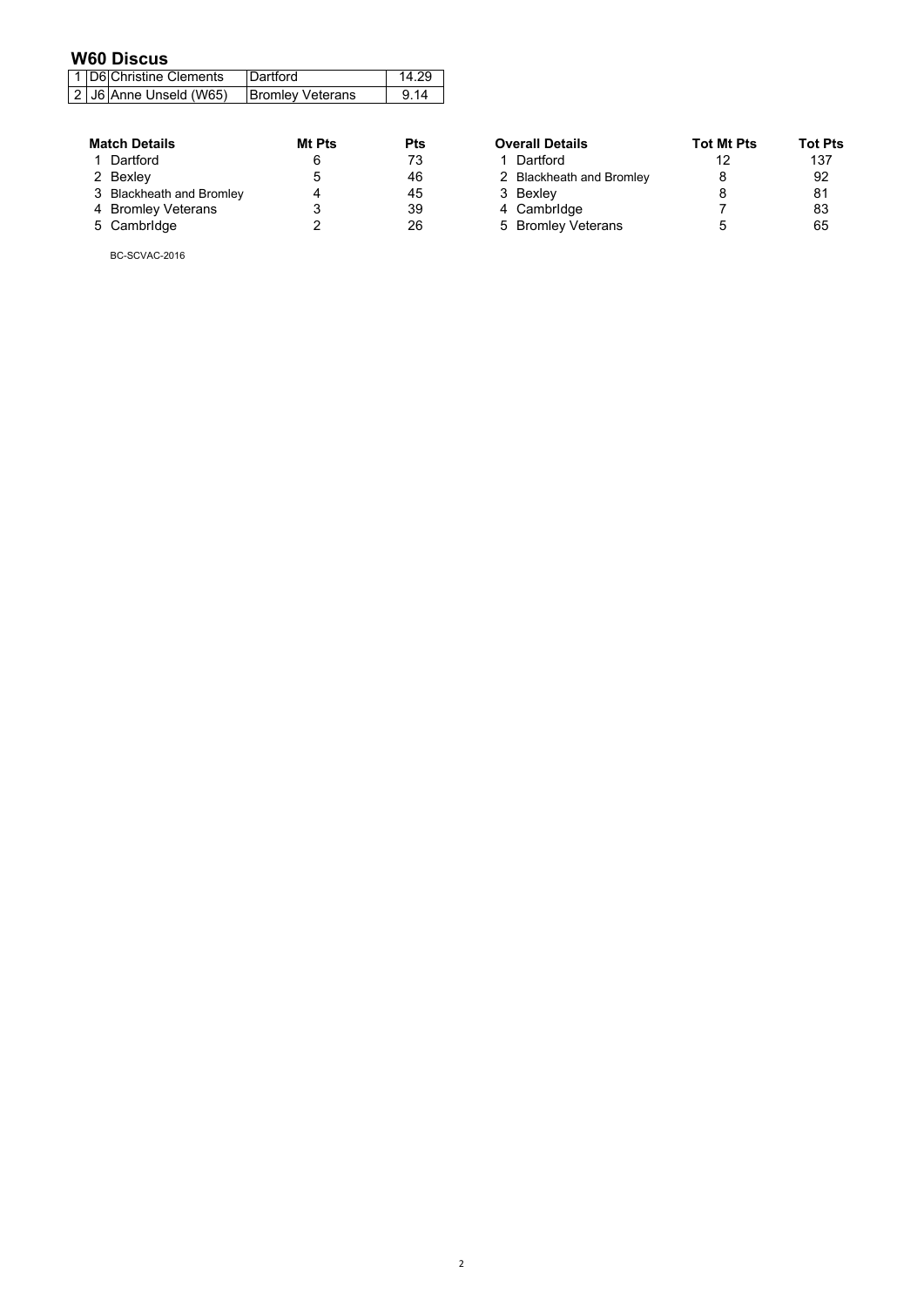# **W60 Discus**

|  | 1   D6 Christine Clements | <b>Dartford</b>         | 14.29 |
|--|---------------------------|-------------------------|-------|
|  | 2 J6 Anne Unseld (W65)    | <b>Bromley Veterans</b> | 9.14  |

| <b>Match Details</b>     | <b>Mt Pts</b> | Pts |
|--------------------------|---------------|-----|
| 1 Dartford               | 6             | 73  |
| 2 Bexley                 | 5             | 46  |
| 3 Blackheath and Bromley |               | 45  |
| 4 Bromley Veterans       | 3             | 39  |
| 5 Cambridge              | 2             | 26  |

BC-SCVAC-2016

| <b>Match Details</b>     | Mt Pts | Pts | <b>Overall Details</b>   | <b>Tot Mt Pts</b> | <b>Tot Pts</b> |
|--------------------------|--------|-----|--------------------------|-------------------|----------------|
| 1 Dartford               |        | 73  | 1 Dartford               |                   | 137            |
| 2 Bexley                 |        | 46  | 2 Blackheath and Bromley |                   | 92             |
| 3 Blackheath and Bromley |        | 45  | 3 Bexley                 |                   | 81             |
| 4 Bromley Veterans       |        | 39  | 4 Cambridge              |                   | 83             |
| 5 Cambridge              |        | 26  | 5 Bromley Veterans       |                   | 65             |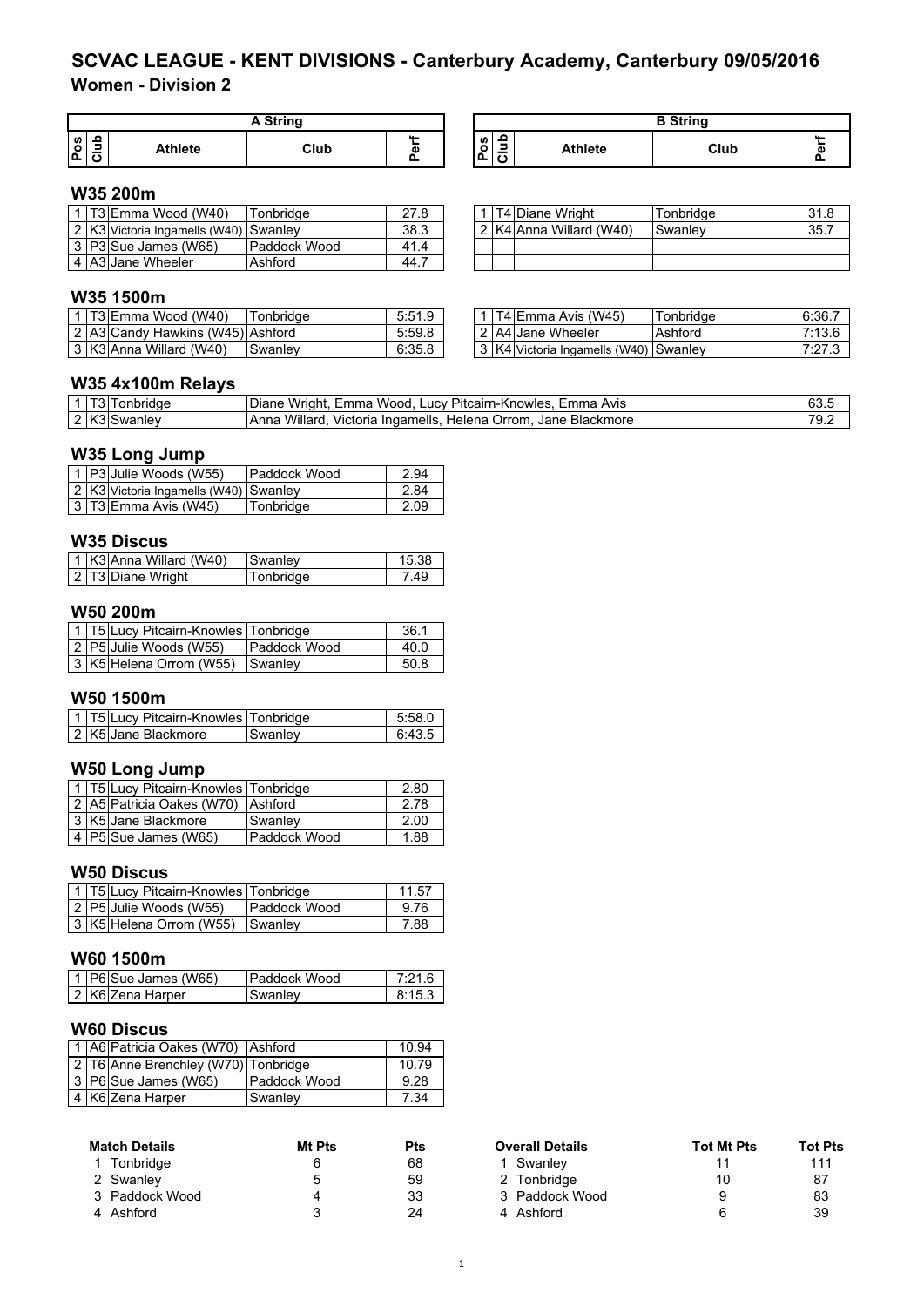# **Women - Division 2 SCVAC LEAGUE - KENT DIVISIONS - Canterbury Academy, Canterbury 09/05/2016**

|                                | Strina         |      |            |  |                                                                 |         | <b>B</b> String |    |
|--------------------------------|----------------|------|------------|--|-----------------------------------------------------------------|---------|-----------------|----|
| ഗ   ⊇<br>۰<br>. .<br>∣⊽ົ<br>ه١ | <b>Athlete</b> | Club | <b>AA </b> |  | ൧<br><b>S</b><br>٥<br>-<br>ட<br>$\overline{\phantom{a}}$<br>. . | Athlete | Club            | G) |

#### **W35 200m**

|  | 1 T3 Emma Wood (W40)                  | Tonbridae    | 27.8 |  | T4 Diane Wright         | Tonbridae | 31.8 |
|--|---------------------------------------|--------------|------|--|-------------------------|-----------|------|
|  | 2 K3 Victoria Ingamells (W40) Swanley |              | 38.3 |  | 2 K4 Anna Willard (W40) | Swanlev   | 35.7 |
|  | 3 P3 Sue James (W65)                  | Paddock Wood | 41.4 |  |                         |           |      |
|  | 4 A3 Jane Wheeler                     | Ashford      | 44.7 |  |                         |           |      |

|                         | 1   T4   Diane Wright | Tonbridge | 31.8  |
|-------------------------|-----------------------|-----------|-------|
| 2 K4 Anna Willard (W40) |                       | Swanley   | -35.1 |
|                         |                       |           |       |
|                         |                       |           |       |

## **W35 1500m**

|  | IT3IEmma Wood (W40)              | Tonbridae | 5:51.9 |  | <b>T4 Emma Avis (W45)</b>                   | Tonbridae | 6:36.7 |
|--|----------------------------------|-----------|--------|--|---------------------------------------------|-----------|--------|
|  | 2 A3 Candy Hawkins (W45) Ashford |           | 5:59.8 |  | 2 A4 Jane Wheeler                           | Ashford   | 7:13.6 |
|  | 3 K3 Anna Willard (W40)          | Swanley   | 6:35.8 |  | 3   K4   Victoria Ingamells (W40)   Swanley |           | 7.07.0 |

|  | 1   T4   Emma Avis (W45)              | Tonbridge | 6:36.7 |
|--|---------------------------------------|-----------|--------|
|  | 2 A4 Jane Wheeler                     | Ashford   | 7:13.6 |
|  | 3 K4 Victoria Ingamells (W40) Swanley |           | 7:27.3 |

### **W35 4x100m Relays**

| T31.<br>Tonbridge | Diane Wright, Emma Wood, Lucy Pitcairn-Knowles, Emma Avis             | 63.t |
|-------------------|-----------------------------------------------------------------------|------|
| 2 K3 Swanley      | Willard.<br>Victoria Ingamells, Helena Orrom, Jane Blackmore<br>lAnna | 79.1 |

### **W35 Long Jump**

|  | 1 P3 Julie Woods (W55)                | <b>Paddock Wood</b> | 2.94 |
|--|---------------------------------------|---------------------|------|
|  | 2 K3 Victoria Ingamells (W40) Swanley |                     | 2.84 |
|  | $\sqrt{3}$ T3 Emma Avis (W45)         | Tonbridge           | 2.09 |

### **W35 Discus**

| 1 K3 Anna Willard (W40) | Swanley   | 15.38 |
|-------------------------|-----------|-------|
| 2 T3 Diane Wright       | Tonbridge | -49   |

#### **W50 200m**

|  | 1   T5 Lucy Pitcairn-Knowles   Tonbridge |                     | 36.1 |
|--|------------------------------------------|---------------------|------|
|  | 2 P5 Julie Woods (W55)                   | <b>Paddock Wood</b> | 40.0 |
|  | 3 K5 Helena Orrom (W55) Swanley          |                     | 50.8 |

### **W50 1500m**

| 1   T5 Lucy Pitcairn-Knowles   Tonbridge |         | 5:58.0 |
|------------------------------------------|---------|--------|
| 2 K5 Jane Blackmore                      | Swanley | 6:43.5 |

#### **W50 Long Jump**

|  | 1 T5 Lucy Pitcairn-Knowles Tonbridge |              | 2.80 |
|--|--------------------------------------|--------------|------|
|  | 2 A5 Patricia Oakes (W70) Ashford    |              | 2.78 |
|  | 3 K5 Jane Blackmore                  | Swanley      | 2.00 |
|  | 4   $PS$ Sue James (W65)             | Paddock Wood | 1.88 |

#### **W50 Discus**

| 1   T5 Lucy Pitcairn-Knowles   Tonbridge |                     | 11.57 |
|------------------------------------------|---------------------|-------|
| 2 P5 Julie Woods (W55)                   | <b>Paddock Wood</b> | 9.76  |
| 3 K5 Helena Orrom (W55)                  | <b>Swanley</b>      | 7.88  |

#### **W60 1500m**

| 1   P6  Sue James (W65) | <b>IPaddock Wood</b> | 7.21 6 |
|-------------------------|----------------------|--------|
| 2 K6lZena Harper        | Swanlev              | 8.15.3 |

### **W60 Discus**

|  | 1 A6 Patricia Oakes (W70) Ashford   |              | 10.94 |
|--|-------------------------------------|--------------|-------|
|  | 2 T6 Anne Brenchley (W70) Tonbridge |              | 10.79 |
|  | 3 P6 Sue James (W65)                | Paddock Wood | 9.28  |
|  | 4 K6 Zena Harper                    | Swanley      | 7.34  |

| <b>Match Details</b> | Mt Pts | <b>Pts</b> | <b>Overall Details</b> | <b>Tot Mt Pts</b> | Tot I |
|----------------------|--------|------------|------------------------|-------------------|-------|
| Tonbridge            |        | 68         | Swanlev                |                   | 11    |
| 2 Swanley            |        | 59         | 2 Tonbridge            | 10                | 87    |
| 3 Paddock Wood       |        | 33         | 3 Paddock Wood         | 9                 | 83    |
| 4 Ashford            |        | 24         | 4 Ashford              | 6                 | 39    |

| <b>Match Details</b> | Mt Pts | Pts | <b>Overall Details</b> | <b>Tot Mt Pts</b> | <b>Tot Pts</b> |
|----------------------|--------|-----|------------------------|-------------------|----------------|
| 1 Tonbridge          |        | 68  | Swanlev                |                   | 111            |
| 2 Swanley            |        | 59  | 2 Tonbridge            | 10                | 87             |
| 3 Paddock Wood       |        | 33  | 3 Paddock Wood         |                   | 83             |
| 4 Ashford            |        | 24  | 4 Ashford              |                   | 39             |